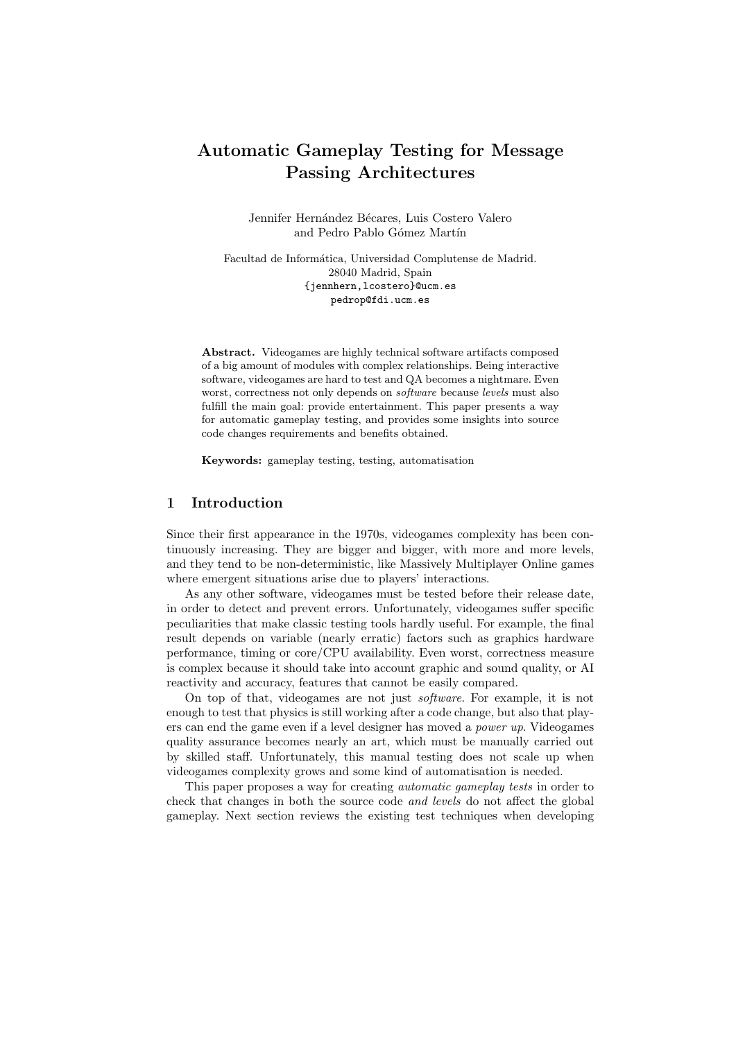# Automatic Gameplay Testing for Message Passing Architectures

Jennifer Hernández Bécares, Luis Costero Valero and Pedro Pablo Gómez Martín

Facultad de Informática, Universidad Complutense de Madrid. 28040 Madrid, Spain {jennhern,lcostero}@ucm.es pedrop@fdi.ucm.es

Abstract. Videogames are highly technical software artifacts composed of a big amount of modules with complex relationships. Being interactive software, videogames are hard to test and QA becomes a nightmare. Even worst, correctness not only depends on software because levels must also fulfill the main goal: provide entertainment. This paper presents a way for automatic gameplay testing, and provides some insights into source code changes requirements and benefits obtained.

Keywords: gameplay testing, testing, automatisation

# 1 Introduction

Since their first appearance in the 1970s, videogames complexity has been continuously increasing. They are bigger and bigger, with more and more levels, and they tend to be non-deterministic, like Massively Multiplayer Online games where emergent situations arise due to players' interactions.

As any other software, videogames must be tested before their release date, in order to detect and prevent errors. Unfortunately, videogames suffer specific peculiarities that make classic testing tools hardly useful. For example, the final result depends on variable (nearly erratic) factors such as graphics hardware performance, timing or core/CPU availability. Even worst, correctness measure is complex because it should take into account graphic and sound quality, or AI reactivity and accuracy, features that cannot be easily compared.

On top of that, videogames are not just software. For example, it is not enough to test that physics is still working after a code change, but also that players can end the game even if a level designer has moved a power up. Videogames quality assurance becomes nearly an art, which must be manually carried out by skilled staff. Unfortunately, this manual testing does not scale up when videogames complexity grows and some kind of automatisation is needed.

This paper proposes a way for creating automatic gameplay tests in order to check that changes in both the source code and levels do not affect the global gameplay. Next section reviews the existing test techniques when developing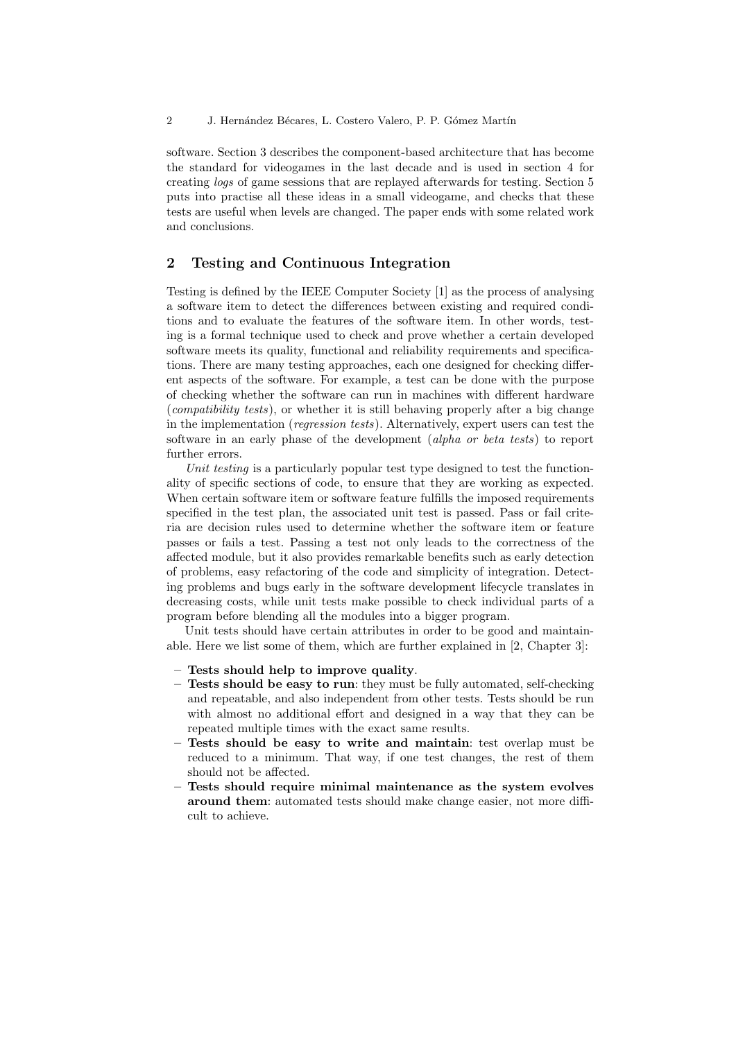software. Section 3 describes the component-based architecture that has become the standard for videogames in the last decade and is used in section 4 for creating logs of game sessions that are replayed afterwards for testing. Section 5 puts into practise all these ideas in a small videogame, and checks that these tests are useful when levels are changed. The paper ends with some related work and conclusions.

# 2 Testing and Continuous Integration

Testing is defined by the IEEE Computer Society [1] as the process of analysing a software item to detect the differences between existing and required conditions and to evaluate the features of the software item. In other words, testing is a formal technique used to check and prove whether a certain developed software meets its quality, functional and reliability requirements and specifications. There are many testing approaches, each one designed for checking different aspects of the software. For example, a test can be done with the purpose of checking whether the software can run in machines with different hardware (compatibility tests), or whether it is still behaving properly after a big change in the implementation (regression tests). Alternatively, expert users can test the software in an early phase of the development *(alpha or beta tests)* to report further errors.

Unit testing is a particularly popular test type designed to test the functionality of specific sections of code, to ensure that they are working as expected. When certain software item or software feature fulfills the imposed requirements specified in the test plan, the associated unit test is passed. Pass or fail criteria are decision rules used to determine whether the software item or feature passes or fails a test. Passing a test not only leads to the correctness of the affected module, but it also provides remarkable benefits such as early detection of problems, easy refactoring of the code and simplicity of integration. Detecting problems and bugs early in the software development lifecycle translates in decreasing costs, while unit tests make possible to check individual parts of a program before blending all the modules into a bigger program.

Unit tests should have certain attributes in order to be good and maintainable. Here we list some of them, which are further explained in [2, Chapter 3]:

- Tests should help to improve quality.
- Tests should be easy to run: they must be fully automated, self-checking and repeatable, and also independent from other tests. Tests should be run with almost no additional effort and designed in a way that they can be repeated multiple times with the exact same results.
- Tests should be easy to write and maintain: test overlap must be reduced to a minimum. That way, if one test changes, the rest of them should not be affected.
- Tests should require minimal maintenance as the system evolves around them: automated tests should make change easier, not more difficult to achieve.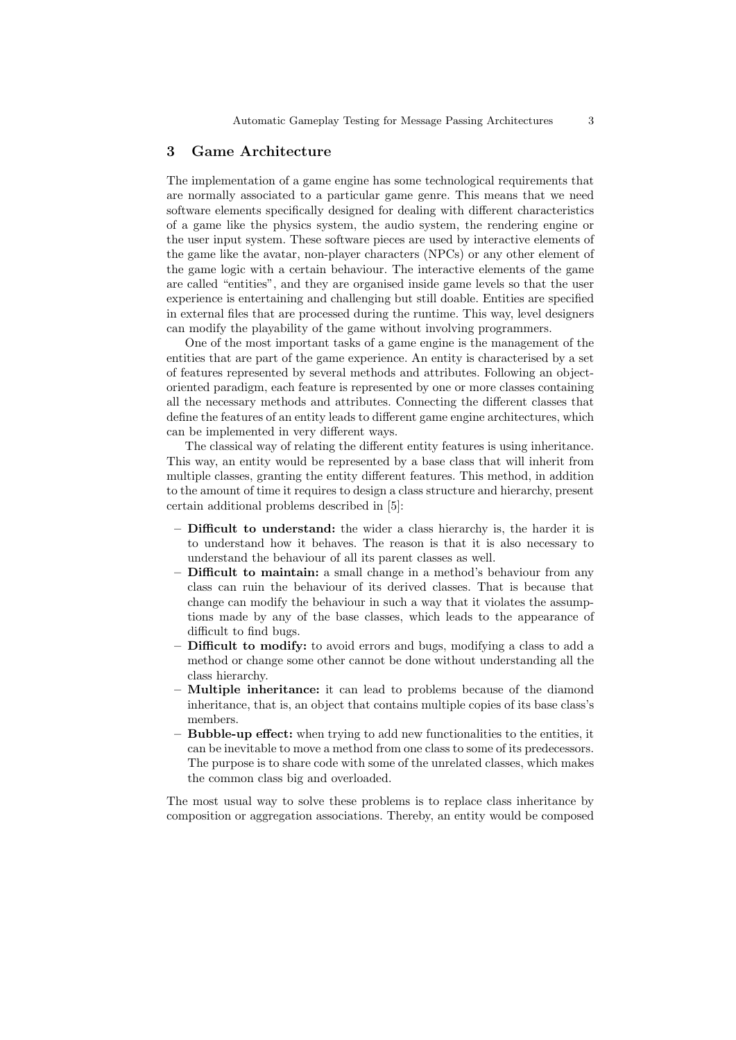### 3 Game Architecture

The implementation of a game engine has some technological requirements that are normally associated to a particular game genre. This means that we need software elements specifically designed for dealing with different characteristics of a game like the physics system, the audio system, the rendering engine or the user input system. These software pieces are used by interactive elements of the game like the avatar, non-player characters (NPCs) or any other element of the game logic with a certain behaviour. The interactive elements of the game are called "entities", and they are organised inside game levels so that the user experience is entertaining and challenging but still doable. Entities are specified in external files that are processed during the runtime. This way, level designers can modify the playability of the game without involving programmers.

One of the most important tasks of a game engine is the management of the entities that are part of the game experience. An entity is characterised by a set of features represented by several methods and attributes. Following an objectoriented paradigm, each feature is represented by one or more classes containing all the necessary methods and attributes. Connecting the different classes that define the features of an entity leads to different game engine architectures, which can be implemented in very different ways.

The classical way of relating the different entity features is using inheritance. This way, an entity would be represented by a base class that will inherit from multiple classes, granting the entity different features. This method, in addition to the amount of time it requires to design a class structure and hierarchy, present certain additional problems described in [5]:

- Difficult to understand: the wider a class hierarchy is, the harder it is to understand how it behaves. The reason is that it is also necessary to understand the behaviour of all its parent classes as well.
- Difficult to maintain: a small change in a method's behaviour from any class can ruin the behaviour of its derived classes. That is because that change can modify the behaviour in such a way that it violates the assumptions made by any of the base classes, which leads to the appearance of difficult to find bugs.
- Difficult to modify: to avoid errors and bugs, modifying a class to add a method or change some other cannot be done without understanding all the class hierarchy.
- Multiple inheritance: it can lead to problems because of the diamond inheritance, that is, an object that contains multiple copies of its base class's members.
- Bubble-up effect: when trying to add new functionalities to the entities, it can be inevitable to move a method from one class to some of its predecessors. The purpose is to share code with some of the unrelated classes, which makes the common class big and overloaded.

The most usual way to solve these problems is to replace class inheritance by composition or aggregation associations. Thereby, an entity would be composed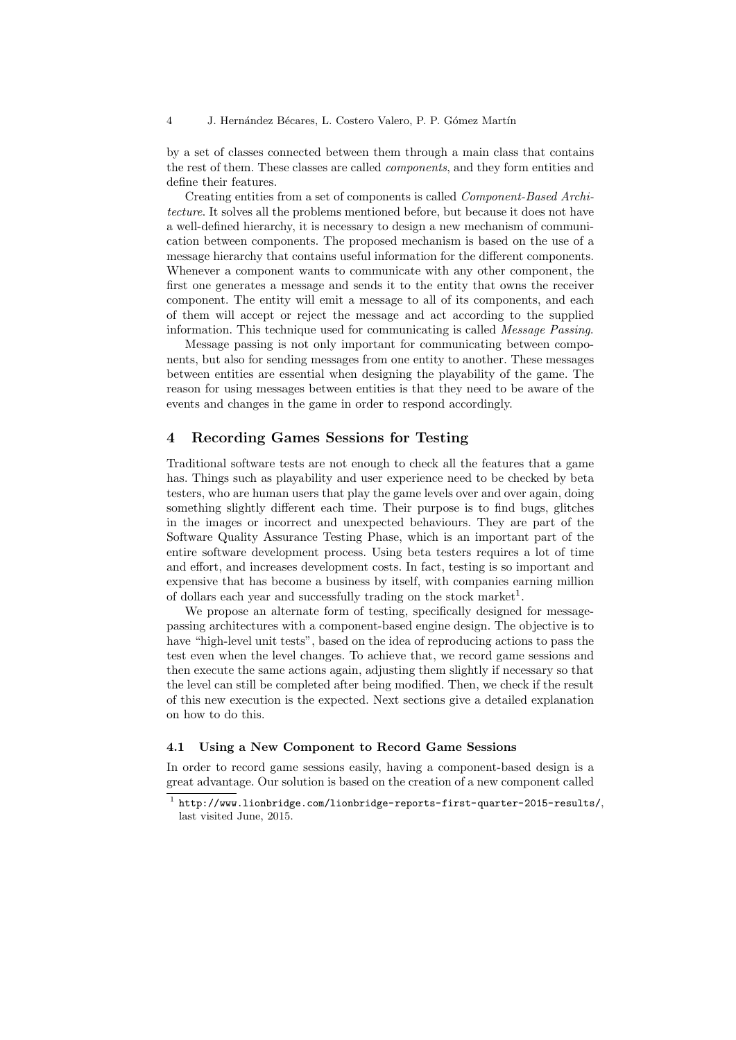by a set of classes connected between them through a main class that contains the rest of them. These classes are called components, and they form entities and define their features.

Creating entities from a set of components is called Component-Based Architecture. It solves all the problems mentioned before, but because it does not have a well-defined hierarchy, it is necessary to design a new mechanism of communication between components. The proposed mechanism is based on the use of a message hierarchy that contains useful information for the different components. Whenever a component wants to communicate with any other component, the first one generates a message and sends it to the entity that owns the receiver component. The entity will emit a message to all of its components, and each of them will accept or reject the message and act according to the supplied information. This technique used for communicating is called Message Passing.

Message passing is not only important for communicating between components, but also for sending messages from one entity to another. These messages between entities are essential when designing the playability of the game. The reason for using messages between entities is that they need to be aware of the events and changes in the game in order to respond accordingly.

# 4 Recording Games Sessions for Testing

Traditional software tests are not enough to check all the features that a game has. Things such as playability and user experience need to be checked by beta testers, who are human users that play the game levels over and over again, doing something slightly different each time. Their purpose is to find bugs, glitches in the images or incorrect and unexpected behaviours. They are part of the Software Quality Assurance Testing Phase, which is an important part of the entire software development process. Using beta testers requires a lot of time and effort, and increases development costs. In fact, testing is so important and expensive that has become a business by itself, with companies earning million of dollars each year and successfully trading on the stock market<sup>1</sup>.

We propose an alternate form of testing, specifically designed for messagepassing architectures with a component-based engine design. The objective is to have "high-level unit tests", based on the idea of reproducing actions to pass the test even when the level changes. To achieve that, we record game sessions and then execute the same actions again, adjusting them slightly if necessary so that the level can still be completed after being modified. Then, we check if the result of this new execution is the expected. Next sections give a detailed explanation on how to do this.

#### 4.1 Using a New Component to Record Game Sessions

In order to record game sessions easily, having a component-based design is a great advantage. Our solution is based on the creation of a new component called

 $^1$  http://www.lionbridge.com/lionbridge-reports-first-quarter-2015-results/, last visited June, 2015.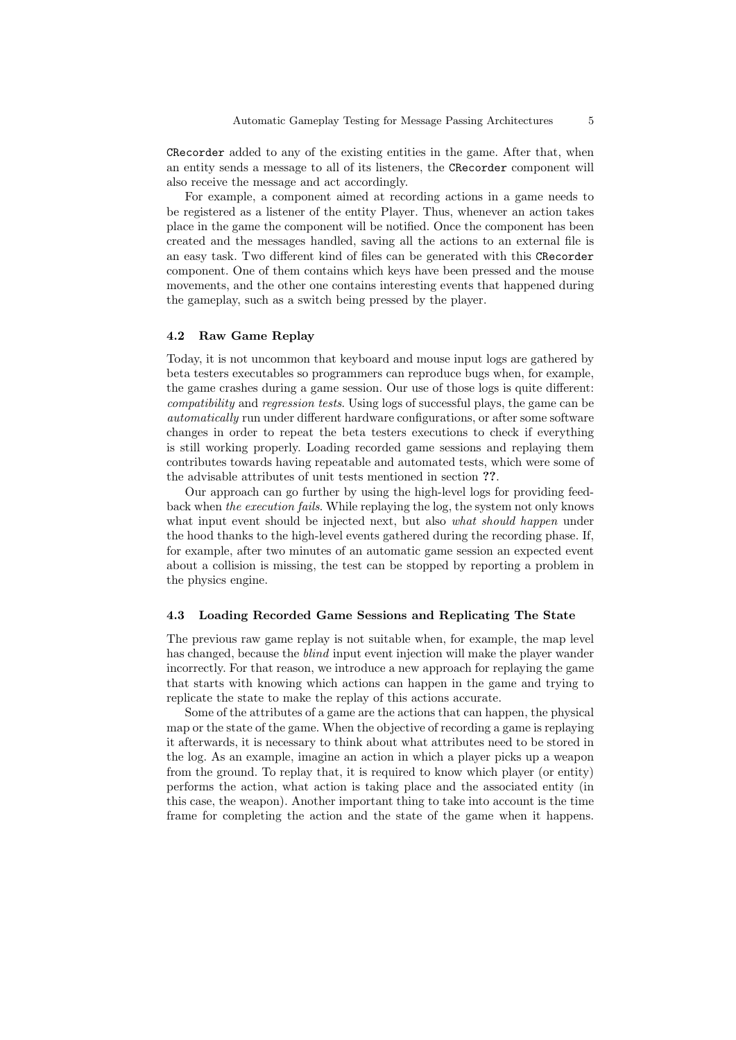CRecorder added to any of the existing entities in the game. After that, when an entity sends a message to all of its listeners, the CRecorder component will also receive the message and act accordingly.

For example, a component aimed at recording actions in a game needs to be registered as a listener of the entity Player. Thus, whenever an action takes place in the game the component will be notified. Once the component has been created and the messages handled, saving all the actions to an external file is an easy task. Two different kind of files can be generated with this CRecorder component. One of them contains which keys have been pressed and the mouse movements, and the other one contains interesting events that happened during the gameplay, such as a switch being pressed by the player.

#### 4.2 Raw Game Replay

Today, it is not uncommon that keyboard and mouse input logs are gathered by beta testers executables so programmers can reproduce bugs when, for example, the game crashes during a game session. Our use of those logs is quite different: compatibility and regression tests. Using logs of successful plays, the game can be automatically run under different hardware configurations, or after some software changes in order to repeat the beta testers executions to check if everything is still working properly. Loading recorded game sessions and replaying them contributes towards having repeatable and automated tests, which were some of the advisable attributes of unit tests mentioned in section ??.

Our approach can go further by using the high-level logs for providing feedback when the execution fails. While replaying the log, the system not only knows what input event should be injected next, but also what should happen under the hood thanks to the high-level events gathered during the recording phase. If, for example, after two minutes of an automatic game session an expected event about a collision is missing, the test can be stopped by reporting a problem in the physics engine.

#### 4.3 Loading Recorded Game Sessions and Replicating The State

The previous raw game replay is not suitable when, for example, the map level has changed, because the blind input event injection will make the player wander incorrectly. For that reason, we introduce a new approach for replaying the game that starts with knowing which actions can happen in the game and trying to replicate the state to make the replay of this actions accurate.

Some of the attributes of a game are the actions that can happen, the physical map or the state of the game. When the objective of recording a game is replaying it afterwards, it is necessary to think about what attributes need to be stored in the log. As an example, imagine an action in which a player picks up a weapon from the ground. To replay that, it is required to know which player (or entity) performs the action, what action is taking place and the associated entity (in this case, the weapon). Another important thing to take into account is the time frame for completing the action and the state of the game when it happens.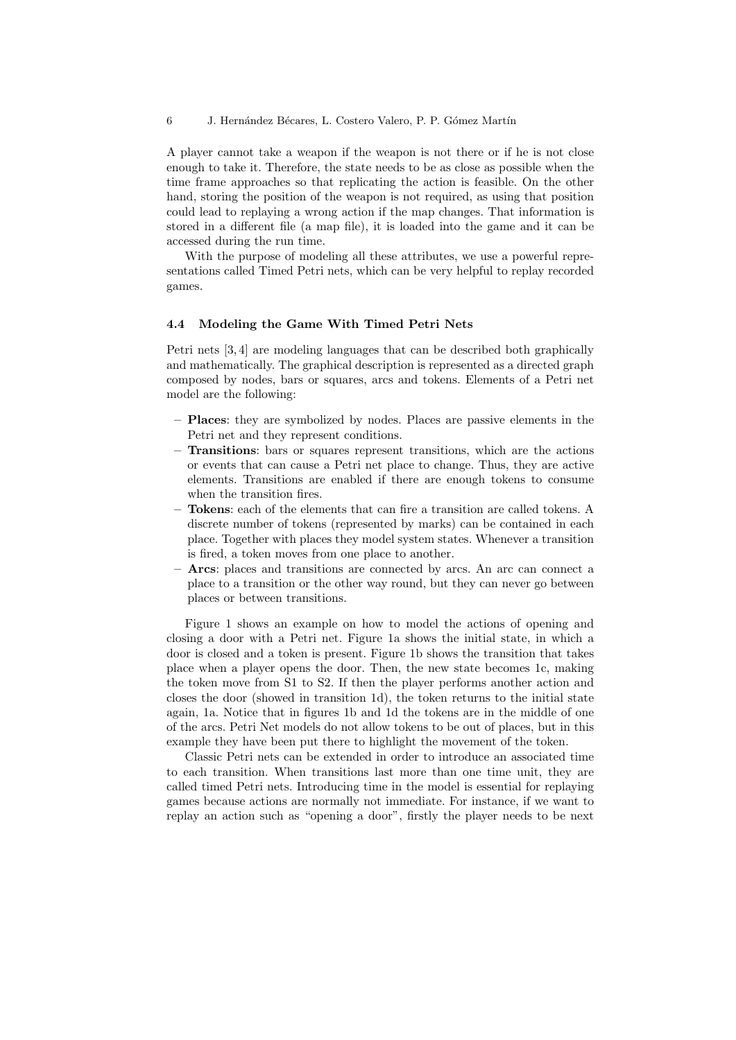A player cannot take a weapon if the weapon is not there or if he is not close enough to take it. Therefore, the state needs to be as close as possible when the time frame approaches so that replicating the action is feasible. On the other hand, storing the position of the weapon is not required, as using that position could lead to replaying a wrong action if the map changes. That information is stored in a different file (a map file), it is loaded into the game and it can be accessed during the run time.

With the purpose of modeling all these attributes, we use a powerful representations called Timed Petri nets, which can be very helpful to replay recorded games.

#### 4.4 Modeling the Game With Timed Petri Nets

Petri nets [3, 4] are modeling languages that can be described both graphically and mathematically. The graphical description is represented as a directed graph composed by nodes, bars or squares, arcs and tokens. Elements of a Petri net model are the following:

- Places: they are symbolized by nodes. Places are passive elements in the Petri net and they represent conditions.
- Transitions: bars or squares represent transitions, which are the actions or events that can cause a Petri net place to change. Thus, they are active elements. Transitions are enabled if there are enough tokens to consume when the transition fires.
- Tokens: each of the elements that can fire a transition are called tokens. A discrete number of tokens (represented by marks) can be contained in each place. Together with places they model system states. Whenever a transition is fired, a token moves from one place to another.
- Arcs: places and transitions are connected by arcs. An arc can connect a place to a transition or the other way round, but they can never go between places or between transitions.

Figure 1 shows an example on how to model the actions of opening and closing a door with a Petri net. Figure 1a shows the initial state, in which a door is closed and a token is present. Figure 1b shows the transition that takes place when a player opens the door. Then, the new state becomes 1c, making the token move from S1 to S2. If then the player performs another action and closes the door (showed in transition 1d), the token returns to the initial state again, 1a. Notice that in figures 1b and 1d the tokens are in the middle of one of the arcs. Petri Net models do not allow tokens to be out of places, but in this example they have been put there to highlight the movement of the token.

Classic Petri nets can be extended in order to introduce an associated time to each transition. When transitions last more than one time unit, they are called timed Petri nets. Introducing time in the model is essential for replaying games because actions are normally not immediate. For instance, if we want to replay an action such as "opening a door", firstly the player needs to be next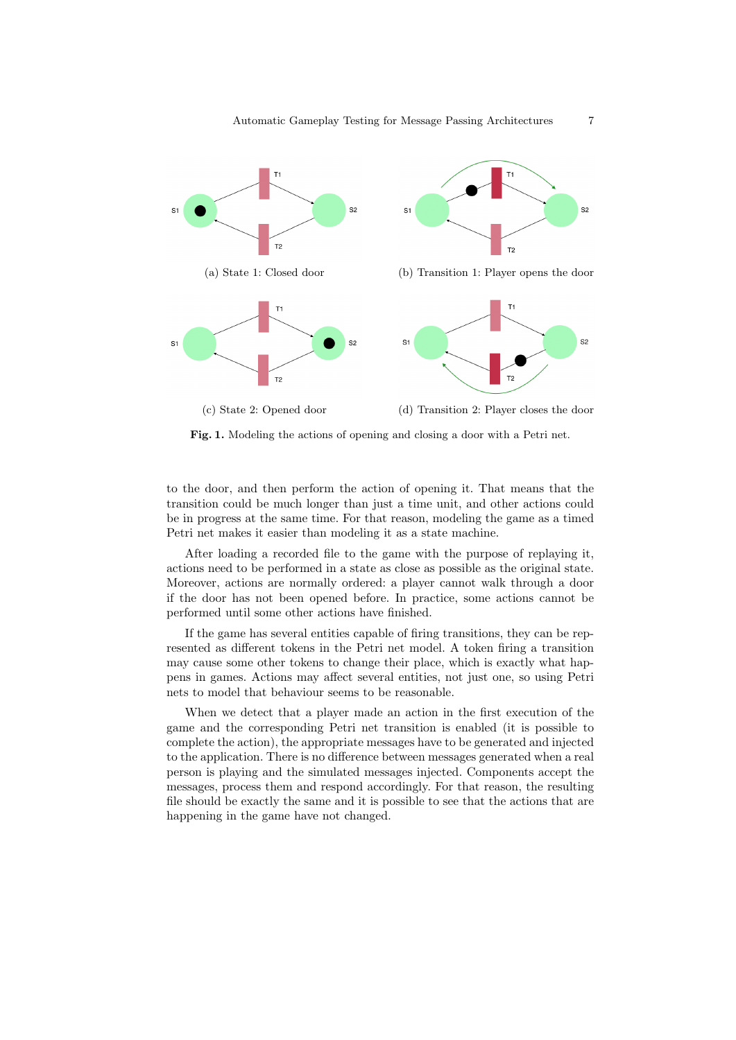

Fig. 1. Modeling the actions of opening and closing a door with a Petri net.

to the door, and then perform the action of opening it. That means that the transition could be much longer than just a time unit, and other actions could be in progress at the same time. For that reason, modeling the game as a timed Petri net makes it easier than modeling it as a state machine.

After loading a recorded file to the game with the purpose of replaying it, actions need to be performed in a state as close as possible as the original state. Moreover, actions are normally ordered: a player cannot walk through a door if the door has not been opened before. In practice, some actions cannot be performed until some other actions have finished.

If the game has several entities capable of firing transitions, they can be represented as different tokens in the Petri net model. A token firing a transition may cause some other tokens to change their place, which is exactly what happens in games. Actions may affect several entities, not just one, so using Petri nets to model that behaviour seems to be reasonable.

When we detect that a player made an action in the first execution of the game and the corresponding Petri net transition is enabled (it is possible to complete the action), the appropriate messages have to be generated and injected to the application. There is no difference between messages generated when a real person is playing and the simulated messages injected. Components accept the messages, process them and respond accordingly. For that reason, the resulting file should be exactly the same and it is possible to see that the actions that are happening in the game have not changed.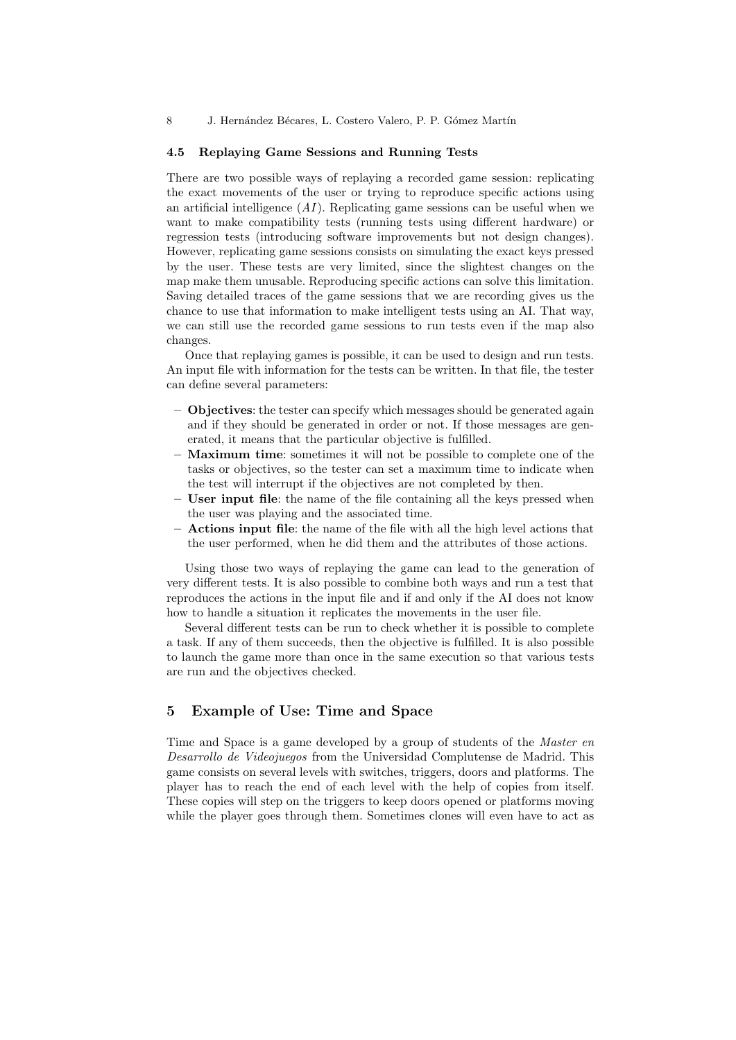#### 4.5 Replaying Game Sessions and Running Tests

There are two possible ways of replaying a recorded game session: replicating the exact movements of the user or trying to reproduce specific actions using an artificial intelligence  $(AI)$ . Replicating game sessions can be useful when we want to make compatibility tests (running tests using different hardware) or regression tests (introducing software improvements but not design changes). However, replicating game sessions consists on simulating the exact keys pressed by the user. These tests are very limited, since the slightest changes on the map make them unusable. Reproducing specific actions can solve this limitation. Saving detailed traces of the game sessions that we are recording gives us the chance to use that information to make intelligent tests using an AI. That way, we can still use the recorded game sessions to run tests even if the map also changes.

Once that replaying games is possible, it can be used to design and run tests. An input file with information for the tests can be written. In that file, the tester can define several parameters:

- Objectives: the tester can specify which messages should be generated again and if they should be generated in order or not. If those messages are generated, it means that the particular objective is fulfilled.
- Maximum time: sometimes it will not be possible to complete one of the tasks or objectives, so the tester can set a maximum time to indicate when the test will interrupt if the objectives are not completed by then.
- User input file: the name of the file containing all the keys pressed when the user was playing and the associated time.
- Actions input file: the name of the file with all the high level actions that the user performed, when he did them and the attributes of those actions.

Using those two ways of replaying the game can lead to the generation of very different tests. It is also possible to combine both ways and run a test that reproduces the actions in the input file and if and only if the AI does not know how to handle a situation it replicates the movements in the user file.

Several different tests can be run to check whether it is possible to complete a task. If any of them succeeds, then the objective is fulfilled. It is also possible to launch the game more than once in the same execution so that various tests are run and the objectives checked.

# 5 Example of Use: Time and Space

Time and Space is a game developed by a group of students of the Master en Desarrollo de Videojuegos from the Universidad Complutense de Madrid. This game consists on several levels with switches, triggers, doors and platforms. The player has to reach the end of each level with the help of copies from itself. These copies will step on the triggers to keep doors opened or platforms moving while the player goes through them. Sometimes clones will even have to act as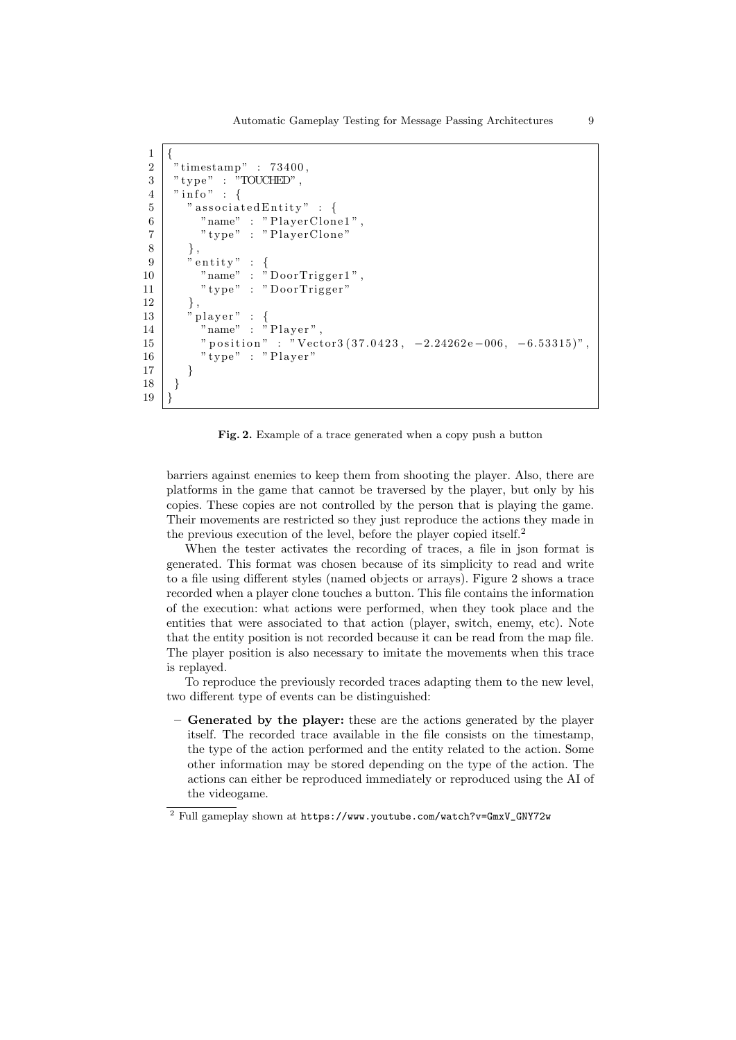Automatic Gameplay Testing for Message Passing Architectures 9

```
\overline{1}2 \mid " timestamp" : 73400.
 3 \mid "type" : "TOUCHED",4 \mid "info" : \{5 | "associated Entity" : {
 6 "name" : "PlayerClone1",
 7 | " type" : "PlayerClone"
 8 },
 \begin{array}{c} 9 \ 9 \ \end{array} " entity" :<br>"name" :
\begin{array}{c|c} 9 & \text{``entity''} : \text{`} \\ \hline \text{``name''} : \text{``DoorTrigger1''}, \end{array}11 "type" : "Door Trigger"12 },
13 | " player" : {
14 "name" : "Player",
15 " position" : "\text{Vector}3(37.0423, -2.24262e-006, -6.53315)",
16 " type" : "Player"
17 }
18 }
19 |
```
Fig. 2. Example of a trace generated when a copy push a button

barriers against enemies to keep them from shooting the player. Also, there are platforms in the game that cannot be traversed by the player, but only by his copies. These copies are not controlled by the person that is playing the game. Their movements are restricted so they just reproduce the actions they made in the previous execution of the level, before the player copied itself.<sup>2</sup>

When the tester activates the recording of traces, a file in json format is generated. This format was chosen because of its simplicity to read and write to a file using different styles (named objects or arrays). Figure 2 shows a trace recorded when a player clone touches a button. This file contains the information of the execution: what actions were performed, when they took place and the entities that were associated to that action (player, switch, enemy, etc). Note that the entity position is not recorded because it can be read from the map file. The player position is also necessary to imitate the movements when this trace is replayed.

To reproduce the previously recorded traces adapting them to the new level, two different type of events can be distinguished:

Generated by the player: these are the actions generated by the player itself. The recorded trace available in the file consists on the timestamp, the type of the action performed and the entity related to the action. Some other information may be stored depending on the type of the action. The actions can either be reproduced immediately or reproduced using the AI of the videogame.

 $^2$  Full gameplay shown at  $\texttt{https://www.youtube.com/watch?v=GmxV_GMY72w}$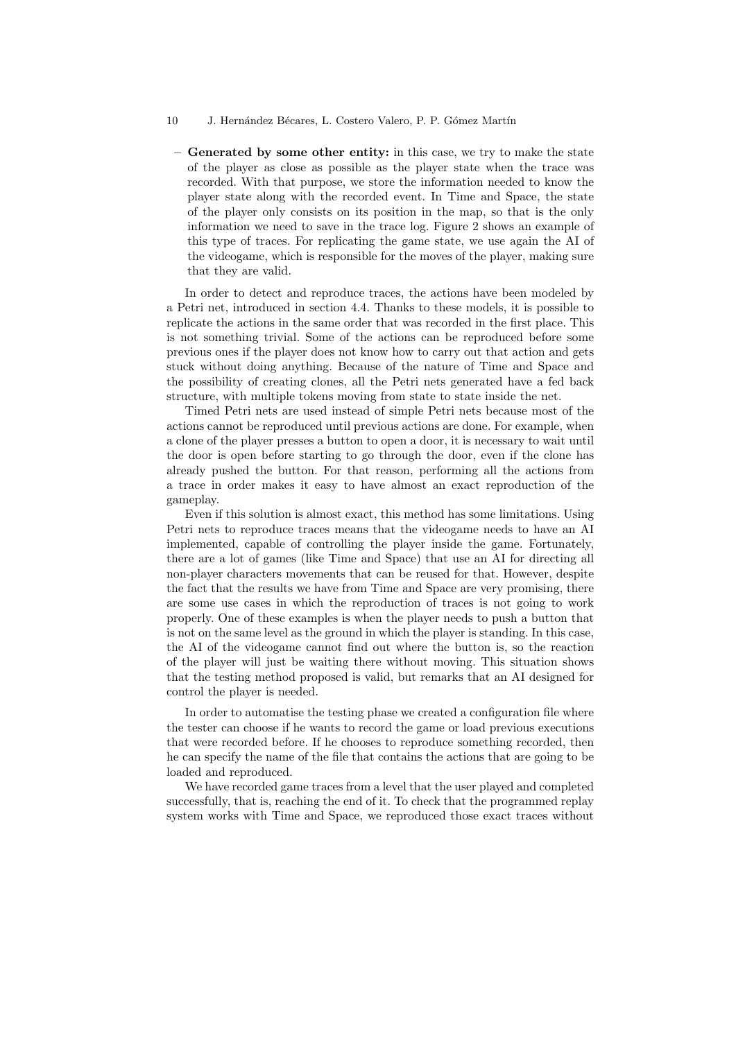- 10 J. Hernández Bécares, L. Costero Valero, P. P. Gómez Martín
	- Generated by some other entity: in this case, we try to make the state of the player as close as possible as the player state when the trace was recorded. With that purpose, we store the information needed to know the player state along with the recorded event. In Time and Space, the state of the player only consists on its position in the map, so that is the only information we need to save in the trace log. Figure 2 shows an example of this type of traces. For replicating the game state, we use again the AI of the videogame, which is responsible for the moves of the player, making sure that they are valid.

In order to detect and reproduce traces, the actions have been modeled by a Petri net, introduced in section 4.4. Thanks to these models, it is possible to replicate the actions in the same order that was recorded in the first place. This is not something trivial. Some of the actions can be reproduced before some previous ones if the player does not know how to carry out that action and gets stuck without doing anything. Because of the nature of Time and Space and the possibility of creating clones, all the Petri nets generated have a fed back structure, with multiple tokens moving from state to state inside the net.

Timed Petri nets are used instead of simple Petri nets because most of the actions cannot be reproduced until previous actions are done. For example, when a clone of the player presses a button to open a door, it is necessary to wait until the door is open before starting to go through the door, even if the clone has already pushed the button. For that reason, performing all the actions from a trace in order makes it easy to have almost an exact reproduction of the gameplay.

Even if this solution is almost exact, this method has some limitations. Using Petri nets to reproduce traces means that the videogame needs to have an AI implemented, capable of controlling the player inside the game. Fortunately, there are a lot of games (like Time and Space) that use an AI for directing all non-player characters movements that can be reused for that. However, despite the fact that the results we have from Time and Space are very promising, there are some use cases in which the reproduction of traces is not going to work properly. One of these examples is when the player needs to push a button that is not on the same level as the ground in which the player is standing. In this case, the AI of the videogame cannot find out where the button is, so the reaction of the player will just be waiting there without moving. This situation shows that the testing method proposed is valid, but remarks that an AI designed for control the player is needed.

In order to automatise the testing phase we created a configuration file where the tester can choose if he wants to record the game or load previous executions that were recorded before. If he chooses to reproduce something recorded, then he can specify the name of the file that contains the actions that are going to be loaded and reproduced.

We have recorded game traces from a level that the user played and completed successfully, that is, reaching the end of it. To check that the programmed replay system works with Time and Space, we reproduced those exact traces without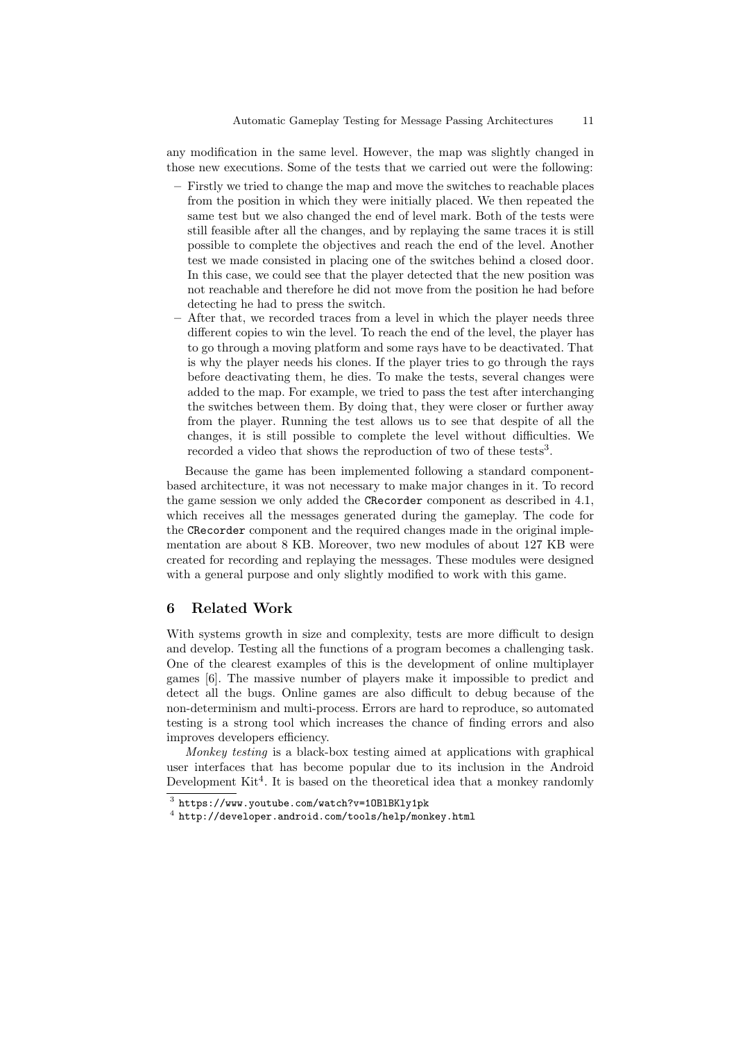any modification in the same level. However, the map was slightly changed in those new executions. Some of the tests that we carried out were the following:

- Firstly we tried to change the map and move the switches to reachable places from the position in which they were initially placed. We then repeated the same test but we also changed the end of level mark. Both of the tests were still feasible after all the changes, and by replaying the same traces it is still possible to complete the objectives and reach the end of the level. Another test we made consisted in placing one of the switches behind a closed door. In this case, we could see that the player detected that the new position was not reachable and therefore he did not move from the position he had before detecting he had to press the switch.
- After that, we recorded traces from a level in which the player needs three different copies to win the level. To reach the end of the level, the player has to go through a moving platform and some rays have to be deactivated. That is why the player needs his clones. If the player tries to go through the rays before deactivating them, he dies. To make the tests, several changes were added to the map. For example, we tried to pass the test after interchanging the switches between them. By doing that, they were closer or further away from the player. Running the test allows us to see that despite of all the changes, it is still possible to complete the level without difficulties. We recorded a video that shows the reproduction of two of these tests<sup>3</sup>.

Because the game has been implemented following a standard componentbased architecture, it was not necessary to make major changes in it. To record the game session we only added the CRecorder component as described in 4.1, which receives all the messages generated during the gameplay. The code for the CRecorder component and the required changes made in the original implementation are about 8 KB. Moreover, two new modules of about 127 KB were created for recording and replaying the messages. These modules were designed with a general purpose and only slightly modified to work with this game.

# 6 Related Work

With systems growth in size and complexity, tests are more difficult to design and develop. Testing all the functions of a program becomes a challenging task. One of the clearest examples of this is the development of online multiplayer games [6]. The massive number of players make it impossible to predict and detect all the bugs. Online games are also difficult to debug because of the non-determinism and multi-process. Errors are hard to reproduce, so automated testing is a strong tool which increases the chance of finding errors and also improves developers efficiency.

Monkey testing is a black-box testing aimed at applications with graphical user interfaces that has become popular due to its inclusion in the Android Development Kit<sup>4</sup>. It is based on the theoretical idea that a monkey randomly

<sup>3</sup> https://www.youtube.com/watch?v=1OBlBKly1pk

<sup>4</sup> http://developer.android.com/tools/help/monkey.html